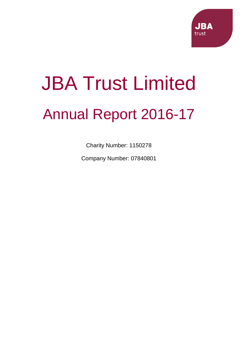

# JBA Trust Limited Annual Report 2016-17

Charity Number: 1150278

Company Number: 07840801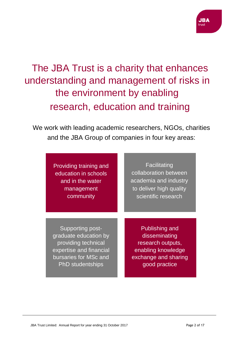# The JBA Trust is a charity that enhances understanding and management of risks in the environment by enabling research, education and training

We work with leading academic researchers, NGOs, charities and the JBA Group of companies in four key areas:

| Providing training and |
|------------------------|
| education in schools   |
| and in the water       |
| management             |
| community              |

**Facilitating** collaboration between academia and industry to deliver high quality scientific research

Supporting postgraduate education by providing technical expertise and financial bursaries for MSc and PhD studentships

Publishing and disseminating research outputs, enabling knowledge exchange and sharing good practice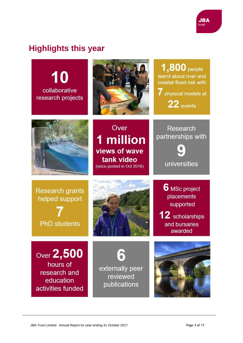

# **Highlights this year**

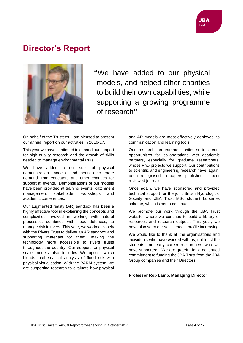# **Director's Report**



**"**We have added to our physical models, and helped other charities to build their own capabilities, while supporting a growing programme of research**"**

On behalf of the Trustees, I am pleased to present our annual report on our activities in 2016-17.

This year we have continued to expand our support for high quality research and the growth of skills needed to manage environmental risks.

We have added to our suite of physical demonstration models, and seen ever more demand from educators and other charities for support at events. Demonstrations of our models have been provided at training events, catchment management stakeholder workshops and academic conferences.

Our augmented reality (AR) sandbox has been a highly effective tool in explaining the concepts and complexities involved in working with natural processes, combined with flood defences, to manage risk in rivers. This year, we worked closely with the Rivers Trust to deliver an AR sandbox and supporting materials for them, making the technology more accessible to rivers trusts throughout the country. Our support for physical scale models also includes Wetropolis, which blends mathematical analysis of flood risk with physical visualisation. With the PARM system, we are supporting research to evaluate how physical

and AR models are most effectively deployed as communication and learning tools.

Our research programme continues to create opportunities for collaborations with academic partners, especially for graduate researchers, whose PhD projects we support. Our contributions to scientific and engineering research have, again, been recognised in papers published in peer reviewed journals.

Once again, we have sponsored and provided technical support for the joint British Hydrological Society and JBA Trust MSc student bursaries scheme, which is set to continue.

We promote our work through the JBA Trust website, where we continue to build a library of resources and research outputs. This year, we have also seen our social media profile increasing.

We would like to thank all the organisations and individuals who have worked with us, not least the students and early career researchers who we have supported. We are grateful for a continued commitment to funding the JBA Trust from the JBA Group companies and their Directors.

**Professor Rob Lamb, Managing Director**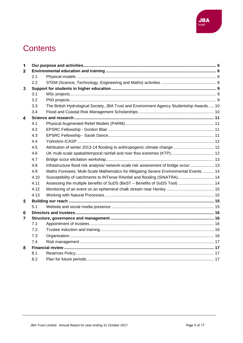

# **Contents**

| 1            |      |                                                                                          |  |  |
|--------------|------|------------------------------------------------------------------------------------------|--|--|
| $\mathbf{2}$ |      |                                                                                          |  |  |
|              | 2.1  |                                                                                          |  |  |
|              | 2.2  |                                                                                          |  |  |
| 3            |      |                                                                                          |  |  |
|              | 3.1  |                                                                                          |  |  |
|              | 3.2  |                                                                                          |  |  |
|              | 3.3  | The British Hydrological Society, JBA Trust and Environment Agency Studentship Awards 10 |  |  |
|              | 3.4  |                                                                                          |  |  |
| 4            |      |                                                                                          |  |  |
|              | 4.1  |                                                                                          |  |  |
|              | 4.2  |                                                                                          |  |  |
|              | 4.3  |                                                                                          |  |  |
|              | 4.4  |                                                                                          |  |  |
|              | 4.5  |                                                                                          |  |  |
|              | 4.6  | UK multi-scale spatial/temporal rainfall and river flow extremes (KTP)  12               |  |  |
|              | 4.7  |                                                                                          |  |  |
|              | 4.8  | Infrastructure flood risk analysis/ network-scale risk assessment of bridge scour  13    |  |  |
|              | 4.9  | Maths Foresees: Multi-Scale Mathematics for Mitigating Severe Environmental Events  14   |  |  |
|              | 4.10 | Susceptibility of catchments to INTense RAinfall and flooding (SINATRA) 14               |  |  |
|              | 4.11 | Assessing the multiple benefits of SuDS (BeST - Benefits of SuDS Tool)  14               |  |  |
|              | 4.12 |                                                                                          |  |  |
|              | 4.13 |                                                                                          |  |  |
| 5            |      |                                                                                          |  |  |
|              | 5.1  |                                                                                          |  |  |
| 6            |      |                                                                                          |  |  |
| 7            |      |                                                                                          |  |  |
|              | 7.1  |                                                                                          |  |  |
|              | 7.2  |                                                                                          |  |  |
|              | 7.3  |                                                                                          |  |  |
|              | 7.4  |                                                                                          |  |  |
| 8            |      |                                                                                          |  |  |
|              | 8.1  |                                                                                          |  |  |
|              | 8.2  |                                                                                          |  |  |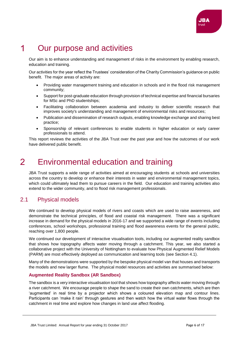

#### <span id="page-5-0"></span>1 Our purpose and activities

Our aim is to enhance understanding and management of risks in the environment by enabling research, education and training.

Our activities for the year reflect the Trustees' consideration of the Charity Commission's guidance on public benefit. The major areas of activity are:

- Providing water management training and education in schools and in the flood risk management community;
- Support for post-graduate education through provision of technical expertise and financial bursaries for MSc and PhD studentships;
- Facilitating collaboration between academia and industry to deliver scientific research that improves society's understanding and management of environmental risks and resources;
- Publication and dissemination of research outputs, enabling knowledge exchange and sharing best practice;
- Sponsorship of relevant conferences to enable students in higher education or early career professionals to attend.

This report reviews the activities of the JBA Trust over the past year and how the outcomes of our work have delivered public benefit.

#### <span id="page-5-1"></span> $\overline{\mathcal{L}}$ Environmental education and training

JBA Trust supports a wide range of activities aimed at encouraging students at schools and universities across the country to develop or enhance their interests in water and environmental management topics, which could ultimately lead them to pursue careers in the field. Our education and training activities also extend to the wider community, and to flood risk management professionals.

# <span id="page-5-2"></span>2.1 Physical models

We continued to develop physical models of rivers and coasts which are used to raise awareness, and demonstrate the technical principles, of flood and coastal risk management. There was a significant increase in demand for the physical models in 2016-17 and we supported a wide range of events including conferences, school workshops, professional training and flood awareness events for the general public, reaching over 1,800 people.

We continued our development of interactive visualisation tools, including our augmented reality sandbox that shows how topography affects water moving through a catchment. This year, we also started a collaborative project with the University of Nottingham to evaluate how Physical Augmented Relief Models (PARM) are most effectively deployed as communication and learning tools (see Section 4.1).

Many of the demonstrations were supported by the bespoke physical model van that houses and transports the models and new larger flume. The physical model resources and activities are summarised below:

#### **Augmented Reality Sandbox (AR Sandbox)**

The sandbox is a very interactive visualisation tool that shows how topography affects water moving through a river catchment. We encourage people to shape the sand to create their own catchments, which are then 'augmented' in real time by a projector which shows a coloured elevation map and contour lines. Participants can 'make it rain' through gestures and then watch how the virtual water flows through the catchment in real time and explore how changes in land use affect flooding.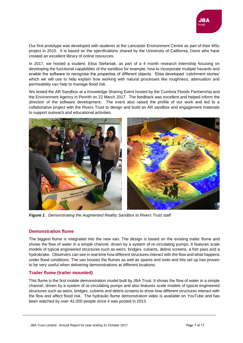

Our first prototype was developed with students at the Lancaster Environment Centre as part of their MSc project in 2015. It is based on the specifications shared by the University of California, Davis who have created an excellent library of online resources.

In 2017, we hosted a student, Elisa Stefaniak, as part of a 4 month research internship focusing on developing the functional capabilities of the sandbox for example, how to incorporate multiple hazards and enable the software to recognise the properties of different objects. Elisa developed 'catchment stories' which we will use to help explain how working with natural processes like roughness, attenuation and permeability can help to manage flood risk.

We tested the AR Sandbox at a Knowledge Sharing Event hosted by the Cumbria Floods Partnership and the Environment Agency in Penrith on 22 March 2017. The feedback was excellent and helped inform the direction of the software development. The event also raised the profile of our work and led to a collaborative project with the Rivers Trust to design and build an AR sandbox and engagement materials to support outreach and educational activities.



*Figure 1 . Demonstrating the Augmented Reality Sandbox to Rivers Trust staff* 

#### **Demonstration flume**

The biggest flume is integrated into the new van. The design is based on the existing trailer flume and shows the flow of water in a simple channel, driven by a system of re-circulating pumps. It features scale models of typical engineered structures such as weirs, bridges, culverts, debris screens, a fish pass and a hydrobrake. Observers can see in real time how different structures interact with the flow and what happens under flood conditions. The van houses the flumes as well as spares and tools and this set up has proven to be very useful when delivering demonstrations at different locations.

#### **Trailer flume (trailer mounted)**

This flume is the first mobile demonstration model built by JBA Trust. It shows the flow of water in a simple channel, driven by a system of re-circulating pumps and also features scale models of typical engineered structures such as weirs, bridges, culverts and debris screens to show how different structures interact with the flow and affect flood risk. The hydraulic flume demonstration video is available on YouTube and has been watched by over 42,000 people since it was posted in 2013.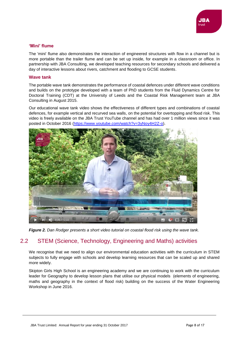

#### **'Mini' flume**

The 'mini' flume also demonstrates the interaction of engineered structures with flow in a channel but is more portable than the trailer flume and can be set up inside, for example in a classroom or office. In partnership with JBA Consulting, we developed teaching resources for secondary schools and delivered a day of interactive lessons about rivers, catchment and flooding to GCSE students.

#### **Wave tank**

The portable wave tank demonstrates the performance of coastal defences under different wave conditions and builds on the prototype developed with a team of PhD students from the Fluid Dynamics Centre for Doctoral Training (CDT) at the University of Leeds and the Coastal Risk Management team at JBA Consulting in August 2015.

Our educational wave tank video shows the effectiveness of different types and combinations of coastal defences, for example vertical and recurved sea walls, on the potential for overtopping and flood risk. This video is freely available on the JBA Trust YouTube channel and has had over 1 million views since it was posted in October 2016 [\(https://www.youtube.com/watch?v=3yNoy4H2Z-o\)](https://www.youtube.com/watch?v=3yNoy4H2Z-o).



*Figure 2. Dan Rodger presents a short video tutorial on coastal flood risk using the wave tank.*

# <span id="page-7-0"></span>2.2 STEM (Science, Technology, Engineering and Maths) activities

We recognise that we need to align our environmental education activities with the curriculum in STEM subjects to fully engage with schools and develop learning resources that can be scaled up and shared more widely.

Skipton Girls High School is an engineering academy and we are continuing to work with the curriculum leader for Geography to develop lesson plans that utilise our physical models (elements of engineering, maths and geography in the context of flood risk) building on the success of the Water Engineering Workshop in June 2016.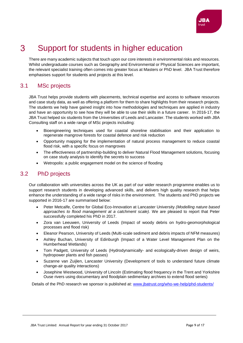

#### <span id="page-8-0"></span> $\mathcal{S}$ Support for students in higher education

There are many academic subjects that touch upon our core interests in environmental risks and resources. Whilst undergraduate courses such as Geography and Environmental or Physical Sciences are important, the relevant specialist training often comes into greater focus at Masters or PhD level. JBA Trust therefore emphasises support for students and projects at this level.

# <span id="page-8-1"></span>3.1 MSc projects

JBA Trust helps provide students with placements, technical expertise and access to software resources and case study data, as well as offering a platform for them to share highlights from their research projects. The students we help have gained insight into how methodologies and techniques are applied in industry and have an opportunity to see how they will be able to use their skills in a future career. In 2016-17, the JBA Trust helped six students from the Universities of Leeds and Lancaster. The students worked with JBA Consulting staff on a wide range of MSc projects including:

- Bioengineering techniques used for coastal shoreline stabilisation and their application to regenerate mangrove forests for coastal defence and risk reduction
- Opportunity mapping for the implementation of natural process management to reduce coastal flood risk, with a specific focus on mangroves
- The effectiveness of partnership-building to deliver Natural Flood Management solutions, focusing on case study analysis to identify the secrets to success
- Wetropolis: a public engagement model on the science of flooding

# <span id="page-8-2"></span>3.2 PhD projects

Our collaboration with universities across the UK as part of our wider research programme enables us to support research students in developing advanced skills, and delivers high quality research that helps enhance the understanding of a wide range of risks in the environment. The students and PhD projects we supported in 2016-17 are summarised below:

- Peter Metcalfe, Centre for Global Eco-Innovation at Lancaster University *(Modelling nature based approaches to flood management at a catchment scale).* We are pleased to report that Peter successfully completed his PhD in 2017.
- Zora van Leeuwen, University of Leeds (Impact of woody debris on hydro-geomorphological processes and flood risk)
- Eleanor Pearson, University of Leeds (Multi-scale sediment and debris impacts of NFM measures)
- Ashley Buchan, University of Edinburgh (Impact of a Water Level Management Plan on the Humberhead Wetlands)
- Tom Padgett, University of Leeds (Hydrodynamically- and ecologically-driven design of weirs, hydropower plants and fish passes)
- Suzanne van Zuijlen, Lancaster University (Development of tools to understand future climate change-air quality interactions)
- Josephine Westwood, University of Lincoln (Estimating flood frequency in the Trent and Yorkshire Ouse rivers using documentary and floodplain sedimentary archives to extend flood series)

Details of the PhD research we sponsor is published at: [www.jbatrust.org/who-we-help/phd-students/](http://www.jbatrust.org/who-we-help/phd-students/)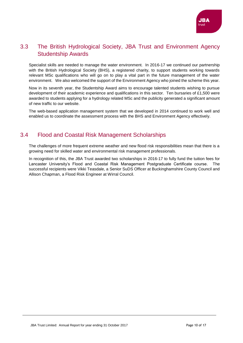

# <span id="page-9-0"></span>3.3 The British Hydrological Society, JBA Trust and Environment Agency Studentship Awards

Specialist skills are needed to manage the water environment. In 2016-17 we continued our partnership with the British Hydrological Society (BHS), a registered charity, to support students working towards relevant MSc qualifications who will go on to play a vital part in the future management of the water environment. We also welcomed the support of the Environment Agency who joined the scheme this year.

Now in its seventh year, the Studentship Award aims to encourage talented students wishing to pursue development of their academic experience and qualifications in this sector. Ten bursaries of £1,500 were awarded to students applying for a hydrology related MSc and the publicity generated a significant amount of new traffic to our website.

The web-based application management system that we developed in 2014 continued to work well and enabled us to coordinate the assessment process with the BHS and Environment Agency effectively.

# <span id="page-9-1"></span>3.4 Flood and Coastal Risk Management Scholarships

The challenges of more frequent extreme weather and new flood risk responsibilities mean that there is a growing need for skilled water and environmental risk management professionals.

In recognition of this, the JBA Trust awarded two scholarships in 2016-17 to fully fund the tuition fees for Lancaster University's Flood and Coastal Risk Management Postgraduate Certificate course. The successful recipients were Vikki Teasdale, a Senior SuDS Officer at Buckinghamshire County Council and Allison Chapman, a Flood Risk Engineer at Wirral Council.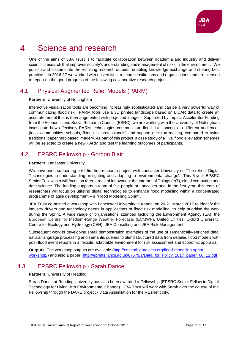#### <span id="page-10-0"></span> $\blacktriangle$ Science and research

One of the aims of JBA Trust is to facilitate collaboration between academia and industry and deliver scientific research that improves society's understanding and management of risks in the environment. We publish and disseminate the resulting research outputs, enabling knowledge exchange and sharing best practice. In 2016-17 we worked with universities, research institutions and organisations and are pleased to report on the good progress of the following collaborative research projects.

# <span id="page-10-1"></span>4.1 Physical Augmented Relief Models (PARM)

#### **Partners**: University of Nottingham

Interactive visualisation tools are becoming increasingly sophisticated and can be a very powerful way of communicating flood risk. PARM tools use a 3D printed landscape based on LIDAR data to create an accurate model that is then augmented with projected images. Supported by Impact Accelerator Funding from the Economic and Social Research Council (ESRC), we are working with the University of Nottingham investigate how effectively PARM technologies communicate flood risk concepts to different audiences (local communities, schools, flood risk professionals) and support decision making, compared to using traditional paper map based imagery. As part of this project, a case study of a 'live' flood alleviation schemes will be selected to create a new PARM and test the learning outcomes of participants.

# <span id="page-10-2"></span>4.2 EPSRC Fellowship - Gordon Blair

#### **Partners**: Lancaster University

We have been supporting a £2.5million research project with Lancaster University on 'The role of Digital Technologies in understanding, mitigating and adapting to environmental change'. This 5-year EPSRC Senior Fellowship will focus on three areas of innovation: the Internet of Things (IoT), cloud computing and data science. The funding supports a team of five people at Lancaster and, in the first year, this team of researchers will focus on utilising digital technologies to enhance flood modelling within a concentrated programme of agile development – a "Flood Modelling Sprint".

JBA Trust co-hosted a workshop with Lancaster University in Kendal on 20-21 March 2017 to identify the industry drivers and technology needs in applications of flood risk modelling, to help prioritise the work during the Sprint. A wide range of organisations attended including the Environment Agency (EA), the European Centre for Medium-Range Weather Forecasts (ECMWF), United Utilities, Oxford University, Centre for Ecology and Hydrology (CEH), JBA Consulting and JBA Risk Management.

Subsequent work is developing small demonstration examples of the use of semantically-enriched data, natural language processing and semantic queries to blend structured data from detailed flood models with post-flood event reports in a flexible, adaptable environment for risk assessment and economic appraisal.

**Outputs**: The workshop outputs are available [\(http://ensembleprojects.org/flood-modelling-sprint](http://ensembleprojects.org/flood-modelling-sprint-workshop/)[workshop/\)](http://ensembleprojects.org/flood-modelling-sprint-workshop/) and also a paper [\(http://eprints.lancs.ac.uk/87679/1/Data\\_for\\_Policy\\_2017\\_paper\\_60\\_11.pdf\)](http://eprints.lancs.ac.uk/87679/1/Data_for_Policy_2017_paper_60_11.pdf)

# <span id="page-10-3"></span>4.3 EPSRC Fellowship - Sarah Dance

#### **Partners**: University of Reading

Sarah Dance at Reading University has also been awarded a Fellowship (EPSRC Senior Fellow in Digital Technology for Living with Environmental Change). JBA Trust will work with Sarah over the course of the Fellowship through the DARE project - Data Assimilation for the REsilient city.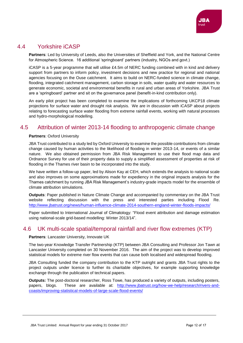# <span id="page-11-0"></span>4.4 Yorkshire iCASP

**Partners**: Led by University of Leeds, also the Universities of Sheffield and York, and the National Centre for Atmospheric Science. 16 additional 'springboard' partners (industry, NGOs and govt.)

iCASP is a 5-year programme that will utilise £4.5m of NERC funding combined with in kind and delivery support from partners to inform policy, investment decisions and new practice for regional and national agencies focusing on the Ouse catchment. It aims to build on NERC-funded science in climate change, flooding, integrated catchment management, carbon storage in soils, water quality and water resources to generate economic, societal and environmental benefits in rural and urban areas of Yorkshire. JBA Trust are a 'springboard' partner and sit on the governance panel (benefit-in-kind contribution only).

An early pilot project has been completed to examine the implications of forthcoming UKCP18 climate projections for surface water and drought risk analysis. We are in discussion with iCASP about projects relating to forecasting surface water flooding from extreme rainfall events, working with natural processes and hydro-morphological modelling.

# <span id="page-11-1"></span>4.5 Attribution of winter 2013-14 flooding to anthropogenic climate change

#### **Partners**: Oxford University

JBA Trust contributed to a study led by Oxford University to examine the possible contributions from climate change caused by human activities to the likelihood of flooding in winter 2013-14, or events of a similar nature. We also obtained permission from JBA Risk Management to use their flood map data and Ordnance Survey for use of their property data to supply a simplified assessment of properties at risk of flooding in the Thames river basin to be incorporated into the study.

We have written a follow-up paper, led by Alison Kay at CEH, which extends the analysis to national scale and also improves on some approximations made for expediency in the original impacts analysis for the Thames catchment by running JBA Risk Management's industry-grade impacts model for the ensemble of climate attribution simulations.

**Outputs**: Paper published in Nature Climate Change and accompanied by commentary on the JBA Trust website reflecting discussion with the press and interested parties including Flood Re. <http://www.jbatrust.org/news/human-influence-climate-2014-southern-england-winter-floods-impacts/>

Paper submitted to International Journal of Climatology: "Flood event attribution and damage estimation using national-scale grid-based modelling: Winter 2013/14".

## <span id="page-11-2"></span>4.6 UK multi-scale spatial/temporal rainfall and river flow extremes (KTP)

#### **Partners**: Lancaster University, Innovate UK

The two-year Knowledge Transfer Partnership (KTP) between JBA Consulting and Professor Jon Tawn at Lancaster University completed on 30 November 2016. The aim of the project was to develop improved statistical models for extreme river flow events that can cause both localised and widespread flooding.

JBA Consulting funded the company contribution to the KTP outright and grants JBA Trust rights to the project outputs under licence to further its charitable objectives, for example supporting knowledge exchange through the publication of technical papers.

**Outputs:** The post-doctoral researcher, Ross Towe, has produced a variety of outputs, including posters, papers, blogs. These are available at: [http://www.jbatrust.org/how-we-help/research/rivers-and](http://www.jbatrust.org/how-we-help/research/rivers-and-coasts/improving-statistical-models-of-large-scale-flood-events/)[coasts/improving-statistical-models-of-large-scale-flood-events/](http://www.jbatrust.org/how-we-help/research/rivers-and-coasts/improving-statistical-models-of-large-scale-flood-events/)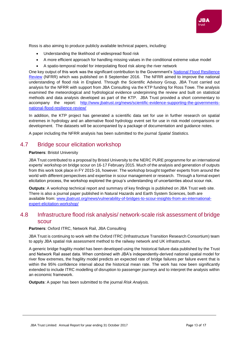

Ross is also aiming to produce publicly available technical papers, including:

- Understanding the likelihood of widespread flood risk
- A more efficient approach for handling missing values in the conditional extreme value model
- A spatio-temporal model for interpolating flood risk along the river network

One key output of this work was the significant contribution to the Government's National Flood Resilience [Review](https://www.gov.uk/government/publications/national-flood-resilience-review) (NFRR) which was published on 8 September 2016. The NFRR aimed to improve the national understanding of flood risk in England. Through the Scientific Advisory Group, JBA Trust carried out analysis for the NFRR with support from JBA Consulting via the KTP funding for Ross Towe. The analysis examined the meteorological and hydrological evidence underpinning the review and built on statistical methods and data analysis developed as part of the KTP. JBA Trust provided a short commentary to accompany the report: [http://www.jbatrust.org/news/scientific-evidence-supporting-the-governments](http://www.jbatrust.org/news/scientific-evidence-supporting-the-governments-national-flood-resilience-review/)[national-flood-resilience-review/](http://www.jbatrust.org/news/scientific-evidence-supporting-the-governments-national-flood-resilience-review/)

In addition, the KTP project has generated a scientific data set for use in further research on spatial extremes in hydrology and an alternative flood hydrology event set for use in risk model comparisons or development. The datasets will be accompanied by a package of documentation and guidance notes.

A paper including the NFRR analysis has been submitted to the journal *Spatial Statistics.*

## <span id="page-12-0"></span>4.7 Bridge scour elicitation workshop

#### **Partners**: Bristol University

JBA Trust contributed to a proposal by Bristol University to the NERC PURE programme for an international experts' workshop on bridge scour on 16-17 February 2015. Much of the analysis and generation of outputs from this work took place in FY 2015-16, however. The workshop brought together experts from around the world with different perspectives and expertise in scour management or research. Through a formal expert elicitation process, the workshop explored the group's understanding of uncertainties about scour risk.

**Outputs**: A workshop technical report and summary of key findings is published on JBA Trust web site. There is also a journal paper published in Natural Hazards and Earth System Sciences, both are available from: [www.jbatrust.org/news/vulnerability-of-bridges-to-scour-insights-from-an-international](http://www.jbatrust.org/news/vulnerability-of-bridges-to-scour-insights-from-an-international-expert-elicitation-workshop/)[expert-elicitation-workshop/](http://www.jbatrust.org/news/vulnerability-of-bridges-to-scour-insights-from-an-international-expert-elicitation-workshop/)

# <span id="page-12-1"></span>4.8 Infrastructure flood risk analysis/ network-scale risk assessment of bridge scour

#### **Partners**: Oxford ITRC, Network Rail, JBA Consulting

JBA Trust is continuing to work with the Oxford ITRC (Infrastructure Transition Research Consortium) team to apply JBA spatial risk assessment method to the railway network and UK infrastructure.

A generic bridge fragility model has been developed using the historical failure data published by the Trust and Network Rail asset data. When combined with JBA's independently-derived national spatial model for river flow extremes, the fragility model predicts an expected rate of bridge failures per failure event that is within the 95% confidence interval about the historical mean rate. The work has now been significantly extended to include ITRC modelling of disruption to passenger journeys and to interpret the analysis within an economic framework.

**Outputs**: A paper has been submitted to the journal *Risk Analysis.*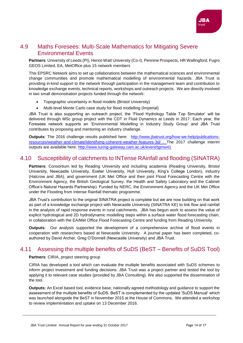

# <span id="page-13-0"></span>4.9 Maths Foresees: Multi-Scale Mathematics for Mitigating Severe Environmental Events

**Partners**: University of Leeds (PI), Heriot-Watt University (Co-I), Pennine Prospects, HR Wallingford, Fugro GEOS Limited, EA, MetOffice plus 15 network members

This EPSRC Network aims to set up collaborations between the mathematical sciences and environmental change communities and promote mathematical modelling of environmental hazards. JBA Trust is providing in-kind support to the network through participation in the management team and contribution to knowledge exchange events, technical reports, workshops and outreach projects. We are directly involved in two small demonstration projects funded through the network:

- Topographic uncertainty in flood models (Bristol University)
- Multi-level Monte Carlo case study for flood modelling (Imperial)

JBA Trust is also supporting an outreach project, the 'Flood Hydrology Table Top Simulator' will be delivered through MSc group project with the CDT in Fluid Dynamics at Leeds in 2017. Each year, the Foresees network supports an 'Environmental Modelling in Industry Study Group' and JBA Trust contributes by proposing and mentoring an industry challenge.

**Outputs**: The 2016 challenge results published here: [http://www.jbatrust.org/how-we-help/publications](http://www.jbatrust.org/how-we-help/publications-resources/weather-and-climate/identifying-coherent-weather-features-3d/)[resources/weather-and-climate/identifying-coherent-weather-features-3d/](http://www.jbatrust.org/how-we-help/publications-resources/weather-and-climate/identifying-coherent-weather-features-3d/) . The 2017 challenge interim outputs are available here: <http://www.turing-gateway.cam.ac.uk/event/tgmw41>

# <span id="page-13-1"></span>4.10 Susceptibility of catchments to INTense RAinfall and flooding (SINATRA)

**Partners**: Consortium led by Reading University and including academia (Reading University, Bristol University, Newcastle University, Exeter University, Hull University, King's College London), industry (Halcrow and JBA), and government (UK Met Office and their joint Flood Forecasting Centre with the Environment Agency, the British Geological Survey, the Health and Safety Laboratory and the Cabinet Office's Natural Hazards Partnership). Funded by NERC, the Environment Agency and the UK Met Office under the Flooding from Intense Rainfall thematic programme.

JBA Trust's contribution to the original SINATRA project is complete but we are now building on that work as part of a knowledge exchange project with Newcastle University (SINATRA KE) to link flow and rainfall in the analysis of rapid response events in rural catchments. JBA has begun work to assess the value of explicit hydrological and 2D hydrodynamic modelling steps within a surface water flood forecasting chain, in collaboration with the EA/Met Office Flood Forecasting Centre and funding from Reading University.

**Outputs**: Our analysis supported the development of a comprehensive archive of flood events in cooperation with researchers based at Newcastle University. A journal paper has been completed, coauthored by David Archer, Greg O'Donnell (Newcastle University) and JBA Trust.

# <span id="page-13-2"></span>4.11 Assessing the multiple benefits of SuDS (BeST – Benefits of SuDS Tool)

#### **Partners**: CIRIA, project steering group

CIRIA has developed a tool which can evaluate the multiple benefits associated with SuDS schemes to inform project investment and funding decisions. JBA Trust was a project partner and tested the tool by applying it to relevant case studies (provided by JBA Consulting). We also supported the dissemination of the tool.

**Outputs:** An Excel based tool, evidence base, nationally agreed methodology and guidance to support the assessment of the multiple benefits of SuDS. BeST is complemented by the updated 'SuDS Manual' which was launched alongside the BeST in November 2015 at the House of Commons. We attended a workshop to review implementation and uptake on 13 December 2016.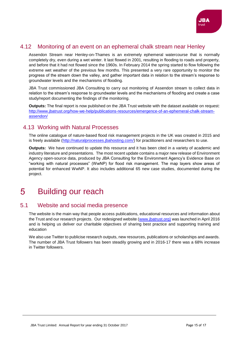

# <span id="page-14-0"></span>4.12 Monitoring of an event on an ephemeral chalk stream near Henley

Assendon Stream near Henley-on-Thames is an extremely ephemeral watercourse that is normally completely dry, even during a wet winter. It last flowed in 2001, resulting in flooding to roads and property, and before that it had not flowed since the 1960s. In February 2014 the spring started to flow following the extreme wet weather of the previous few months. This presented a very rare opportunity to monitor the progress of the stream down the valley, and gather important data in relation to the stream's response to groundwater levels and the mechanisms of flooding.

JBA Trust commissioned JBA Consulting to carry out monitoring of Assendon stream to collect data in relation to the stream's response to groundwater levels and the mechanisms of flooding and create a case study/report documenting the findings of the monitoring.

**Outputs:** The final report is now published on the JBA Trust website with the dataset available on request: [http://www.jbatrust.org/how-we-help/publications-resources/emergence-of-an-ephemeral-chalk-stream](http://www.jbatrust.org/how-we-help/publications-resources/emergence-of-an-ephemeral-chalk-stream-assendon/)[assendon/](http://www.jbatrust.org/how-we-help/publications-resources/emergence-of-an-ephemeral-chalk-stream-assendon/)

# <span id="page-14-1"></span>4.13 Working with Natural Processes

The online catalogue of nature-based flood risk management projects in the UK was created in 2015 and is freely available [\(http://naturalprocesses.jbahosting.com/\)](http://naturalprocesses.jbahosting.com/) for practitioners and researchers to use.

**Outputs:** We have continued to update this resource and it has been cited in a variety of academic and industry literature and presentations. The most recent update contains a major new release of Environment Agency open-source data, produced by JBA Consulting for the Environment Agency's Evidence Base on "working with natural processes" (WwNP) for flood risk management. The map layers show areas of potential for enhanced WwNP. It also includes additional 65 new case studies, documented during the project.

#### <span id="page-14-2"></span>5 Building our reach

## <span id="page-14-3"></span>5.1 Website and social media presence

The website is the main way that people access publications, educational resources and information about the Trust and our research projects. Our redesigned website [\(www.jbatrust.org\)](http://www.jbatrust.org/) was launched in April 2016 and is helping us deliver our charitable objectives of sharing best practice and supporting training and education

We also use Twitter to publicise research outputs, new resources, publications or scholarships and awards. The number of JBA Trust followers has been steadily growing and in 2016-17 there was a 68% increase in Twitter followers.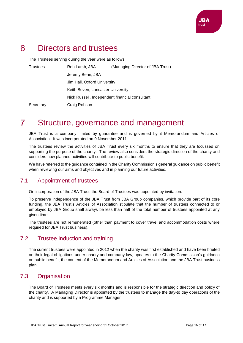

#### <span id="page-15-0"></span>6 Directors and trustees

The Trustees serving during the year were as follows:

| <b>Trustees</b> | Rob Lamb, JBA                     | (Managing Director of JBA Trust)               |
|-----------------|-----------------------------------|------------------------------------------------|
|                 | Jeremy Benn, JBA                  |                                                |
|                 | Jim Hall, Oxford University       |                                                |
|                 | Keith Beven, Lancaster University |                                                |
|                 |                                   | Nick Russell, Independent financial consultant |
| Secretary       | Craig Robson                      |                                                |

#### <span id="page-15-1"></span> $\overline{7}$ Structure, governance and management

JBA Trust is a company limited by guarantee and is governed by it Memorandum and Articles of Association. It was incorporated on 9 November 2011.

The trustees review the activities of JBA Trust every six months to ensure that they are focussed on supporting the purpose of the charity. The review also considers the strategic direction of the charity and considers how planned activities will contribute to public benefit.

We have referred to the guidance contained in the Charity Commission's general guidance on public benefit when reviewing our aims and objectives and in planning our future activities.

# <span id="page-15-2"></span>7.1 Appointment of trustees

On incorporation of the JBA Trust, the Board of Trustees was appointed by invitation.

To preserve independence of the JBA Trust from JBA Group companies, which provide part of its core funding, the JBA Trust's Articles of Association stipulate that the number of trustees connected to or employed by JBA Group shall always be less than half of the total number of trustees appointed at any given time.

The trustees are not remunerated (other than payment to cover travel and accommodation costs where required for JBA Trust business).

# <span id="page-15-3"></span>7.2 Trustee induction and training

The current trustees were appointed in 2012 when the charity was first established and have been briefed on their legal obligations under charity and company law, updates to the Charity Commission's guidance on public benefit, the content of the Memorandum and Articles of Association and the JBA Trust business plan.

# <span id="page-15-4"></span>7.3 Organisation

The Board of Trustees meets every six months and is responsible for the strategic direction and policy of the charity. A Managing Director is appointed by the trustees to manage the day-to day operations of the charity and is supported by a Programme Manager.